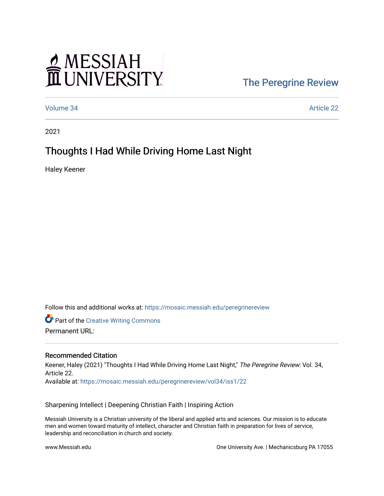# MESSIAH

### [The Peregrine Review](https://mosaic.messiah.edu/peregrinereview)

[Volume 34](https://mosaic.messiah.edu/peregrinereview/vol34) [Article 22](https://mosaic.messiah.edu/peregrinereview/vol34/iss1/22) 

2021

## Thoughts I Had While Driving Home Last Night

Haley Keener

Follow this and additional works at: [https://mosaic.messiah.edu/peregrinereview](https://mosaic.messiah.edu/peregrinereview?utm_source=mosaic.messiah.edu%2Fperegrinereview%2Fvol34%2Fiss1%2F22&utm_medium=PDF&utm_campaign=PDFCoverPages) 

**Part of the Creative Writing Commons** 

Permanent URL:

#### Recommended Citation

Keener, Haley (2021) "Thoughts I Had While Driving Home Last Night," The Peregrine Review: Vol. 34, Article 22. Available at: [https://mosaic.messiah.edu/peregrinereview/vol34/iss1/22](https://mosaic.messiah.edu/peregrinereview/vol34/iss1/22?utm_source=mosaic.messiah.edu%2Fperegrinereview%2Fvol34%2Fiss1%2F22&utm_medium=PDF&utm_campaign=PDFCoverPages)

Sharpening Intellect | Deepening Christian Faith | Inspiring Action

Messiah University is a Christian university of the liberal and applied arts and sciences. Our mission is to educate men and women toward maturity of intellect, character and Christian faith in preparation for lives of service, leadership and reconciliation in church and society.

www.Messiah.edu One University Ave. | Mechanicsburg PA 17055